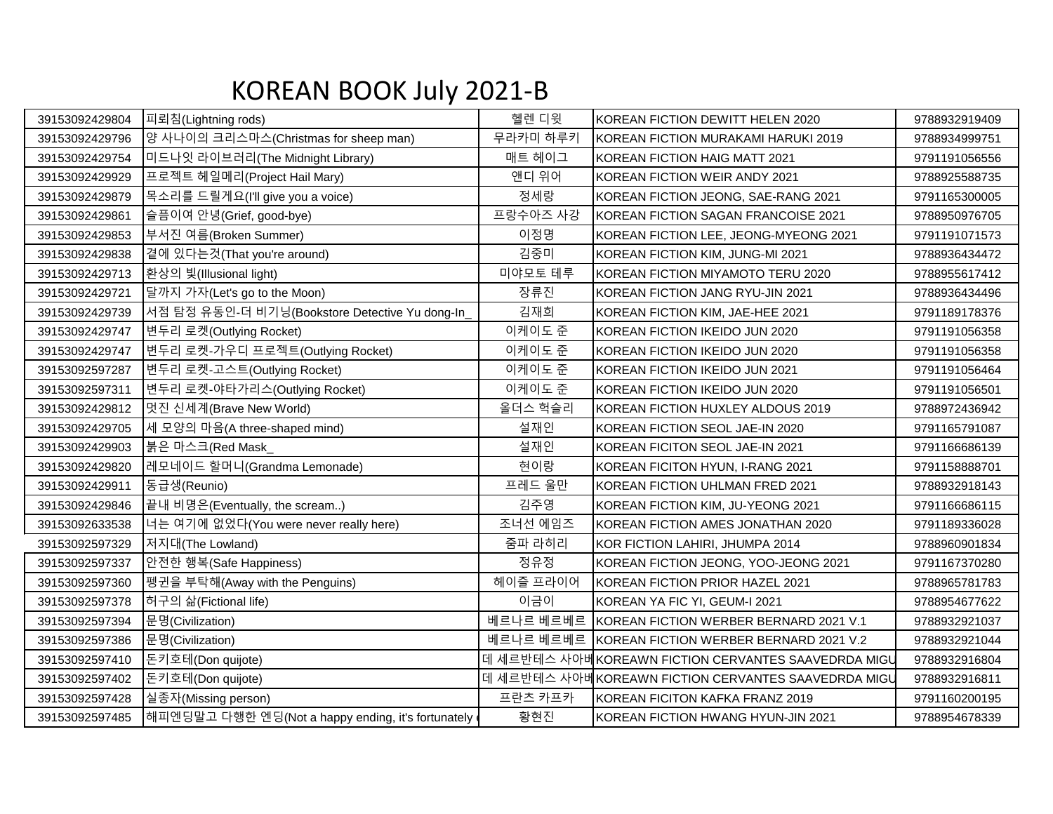## KOREAN BOOK July 2021-B

| 39153092429804 | 피뢰침(Lightning rods)                                | 헬렌 디윗     | KOREAN FICTION DEWITT HELEN 2020                    | 9788932919409 |
|----------------|----------------------------------------------------|-----------|-----------------------------------------------------|---------------|
| 39153092429796 | 양 사나이의 크리스마스(Christmas for sheep man)              | 무라카미 하루키  | KOREAN FICTION MURAKAMI HARUKI 2019                 | 9788934999751 |
| 39153092429754 | 미드나잇 라이브러리(The Midnight Library)                   | 매트 헤이그    | KOREAN FICTION HAIG MATT 2021                       | 9791191056556 |
| 39153092429929 | 프로젝트 헤일메리(Project Hail Mary)                       | 앤디 위어     | KOREAN FICTION WEIR ANDY 2021                       | 9788925588735 |
| 39153092429879 | 목소리를 드릴게요(I'll give you a voice)                   | 정세랑       | KOREAN FICTION JEONG, SAE-RANG 2021                 | 9791165300005 |
| 39153092429861 | 슬픔이여 안녕(Grief, good-bye)                           | 프랑수아즈 사강  | KOREAN FICTION SAGAN FRANCOISE 2021                 | 9788950976705 |
| 39153092429853 | 부서진 여름(Broken Summer)                              | 이정명       | KOREAN FICTION LEE, JEONG-MYEONG 2021               | 9791191071573 |
| 39153092429838 | 곁에 있다는것(That you're around)                        | 김중미       | KOREAN FICTION KIM, JUNG-MI 2021                    | 9788936434472 |
| 39153092429713 | 환상의 빛(Illusional light)                            | 미야모토 테루   | KOREAN FICTION MIYAMOTO TERU 2020                   | 9788955617412 |
| 39153092429721 | 달까지 가자(Let's go to the Moon)                       | 장류진       | KOREAN FICTION JANG RYU-JIN 2021                    | 9788936434496 |
| 39153092429739 | 서점 탐정 유동인-더 비기닝(Bookstore Detective Yu dong-In_    | 김재희       | KOREAN FICTION KIM, JAE-HEE 2021                    | 9791189178376 |
| 39153092429747 | 변두리 로켓(Outlying Rocket)                            | 이케이도 준    | KOREAN FICTION IKEIDO JUN 2020                      | 9791191056358 |
| 39153092429747 | 변두리 로켓-가우디 프로젝트(Outlying Rocket)                   | 이케이도 준    | KOREAN FICTION IKEIDO JUN 2020                      | 9791191056358 |
| 39153092597287 | 변두리 로켓-고스트(Outlying Rocket)                        | 이케이도 준    | KOREAN FICTION IKEIDO JUN 2021                      | 9791191056464 |
| 39153092597311 | 변두리 로켓-야타가리스(Outlying Rocket)                      | 이케이도 준    | KOREAN FICTION IKEIDO JUN 2020                      | 9791191056501 |
| 39153092429812 | 멋진 신세계(Brave New World)                            | 올더스 헉슬리   | KOREAN FICTION HUXLEY ALDOUS 2019                   | 9788972436942 |
| 39153092429705 | 세 모양의 마음(A three-shaped mind)                      | 설재인       | KOREAN FICTION SEOL JAE-IN 2020                     | 9791165791087 |
| 39153092429903 | 붉은 마스크(Red Mask_                                   | 설재인       | KOREAN FICITON SEOL JAE-IN 2021                     | 9791166686139 |
| 39153092429820 | 레모네이드 할머니(Grandma Lemonade)                        | 현이랑       | KOREAN FICITON HYUN, I-RANG 2021                    | 9791158888701 |
| 39153092429911 | 동급생(Reunio)                                        | 프레드 울만    | KOREAN FICTION UHLMAN FRED 2021                     | 9788932918143 |
| 39153092429846 | 끝내 비명은(Eventually, the scream)                     | 김주영       | KOREAN FICTION KIM, JU-YEONG 2021                   | 9791166686115 |
| 39153092633538 | 너는 여기에 없었다(You were never really here)             | 조너선 에임즈   | KOREAN FICTION AMES JONATHAN 2020                   | 9791189336028 |
| 39153092597329 | 저지대(The Lowland)                                   | 줌파 라히리    | KOR FICTION LAHIRI, JHUMPA 2014                     | 9788960901834 |
| 39153092597337 | 안전한 행복(Safe Happiness)                             | 정유정       | KOREAN FICTION JEONG, YOO-JEONG 2021                | 9791167370280 |
| 39153092597360 | 펭귄을 부탁해(Away with the Penguins)                    | 헤이즐 프라이어  | KOREAN FICTION PRIOR HAZEL 2021                     | 9788965781783 |
| 39153092597378 | 허구의 삶(Fictional life)                              | 이금이       | KOREAN YA FIC YI, GEUM-I 2021                       | 9788954677622 |
| 39153092597394 | 문명(Civilization)                                   | 베르나르 베르베르 | KOREAN FICTION WERBER BERNARD 2021 V.1              | 9788932921037 |
| 39153092597386 | 문명(Civilization)                                   | 베르나르 베르베르 | KOREAN FICTION WERBER BERNARD 2021 V.2              | 9788932921044 |
| 39153092597410 | 돈키호테(Don quijote)                                  |           | 데 세르반테스 사아베KOREAWN FICTION CERVANTES SAAVEDRDA MIGU | 9788932916804 |
| 39153092597402 | 돈키호테(Don quijote)                                  |           | 데 세르반테스 사아베KOREAWN FICTION CERVANTES SAAVEDRDA MIGU | 9788932916811 |
| 39153092597428 | 실종자(Missing person)                                | 프란츠 카프카   | KOREAN FICITON KAFKA FRANZ 2019                     | 9791160200195 |
| 39153092597485 | 해피엔딩말고 다행한 엔딩(Not a happy ending, it's fortunately | 황현진       | KOREAN FICTION HWANG HYUN-JIN 2021                  | 9788954678339 |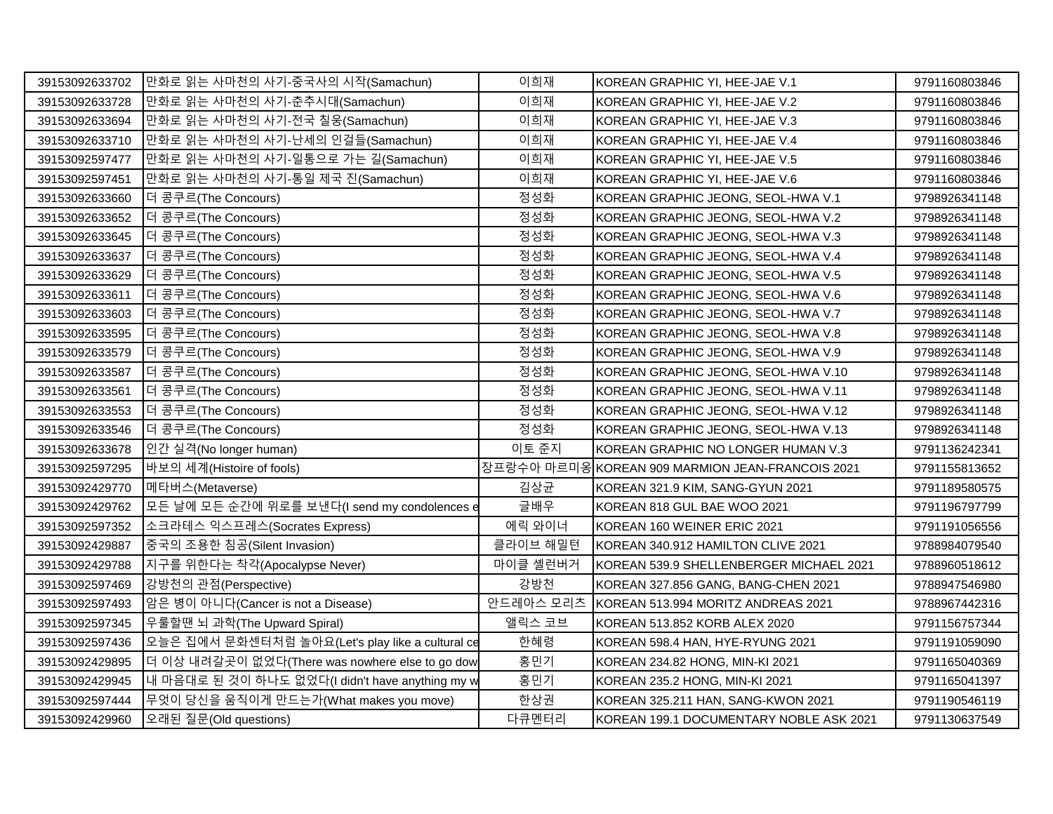| 39153092633702 | 만화로 읽는 사마천의 사기-중국사의 시작(Samachun)                 | 이희재       | KOREAN GRAPHIC YI, HEE-JAE V.1                  | 9791160803846 |
|----------------|--------------------------------------------------|-----------|-------------------------------------------------|---------------|
| 39153092633728 | 만화로 읽는 사마천의 사기-춘추시대(Samachun)                    | 이희재       | KOREAN GRAPHIC YI, HEE-JAE V.2                  | 9791160803846 |
| 39153092633694 | 만화로 읽는 사마천의 사기-전국 칠웅(Samachun)                   | 이희재       | KOREAN GRAPHIC YI, HEE-JAE V.3                  | 9791160803846 |
| 39153092633710 | 만화로 읽는 사마천의 사기-난세의 인걸들(Samachun)                 | 이희재       | KOREAN GRAPHIC YI, HEE-JAE V.4                  | 9791160803846 |
| 39153092597477 | 만화로 읽는 사마천의 사기-일통으로 가는 길(Samachun)               | 이희재       | KOREAN GRAPHIC YI, HEE-JAE V.5                  | 9791160803846 |
| 39153092597451 | 만화로 읽는 사마천의 사기-통일 제국 진(Samachun)                 | 이희재       | KOREAN GRAPHIC YI, HEE-JAE V.6                  | 9791160803846 |
| 39153092633660 | 더 콩쿠르(The Concours)                              | 정성화       | KOREAN GRAPHIC JEONG, SEOL-HWA V.1              | 9798926341148 |
| 39153092633652 | 더 콩쿠르(The Concours)                              | 정성화       | KOREAN GRAPHIC JEONG, SEOL-HWA V.2              | 9798926341148 |
| 39153092633645 | 더 콩쿠르(The Concours)                              | 정성화       | KOREAN GRAPHIC JEONG, SEOL-HWA V.3              | 9798926341148 |
| 39153092633637 | 더 콩쿠르(The Concours)                              | 정성화       | KOREAN GRAPHIC JEONG, SEOL-HWA V.4              | 9798926341148 |
| 39153092633629 | 더 콩쿠르(The Concours)                              | 정성화       | KOREAN GRAPHIC JEONG. SEOL-HWA V.5              | 9798926341148 |
| 39153092633611 | 더 콩쿠르(The Concours)                              | 정성화       | KOREAN GRAPHIC JEONG, SEOL-HWA V.6              | 9798926341148 |
| 39153092633603 | 더 콩쿠르(The Concours)                              | 정성화       | KOREAN GRAPHIC JEONG, SEOL-HWA V.7              | 9798926341148 |
| 39153092633595 | 더 콩쿠르(The Concours)                              | 정성화       | KOREAN GRAPHIC JEONG, SEOL-HWA V.8              | 9798926341148 |
| 39153092633579 | 더 콩쿠르(The Concours)                              | 정성화       | KOREAN GRAPHIC JEONG, SEOL-HWA V.9              | 9798926341148 |
| 39153092633587 | 더 콩쿠르(The Concours)                              | 정성화       | KOREAN GRAPHIC JEONG, SEOL-HWA V.10             | 9798926341148 |
| 39153092633561 | 더 콩쿠르(The Concours)                              | 정성화       | KOREAN GRAPHIC JEONG, SEOL-HWA V.11             | 9798926341148 |
| 39153092633553 | 더 콩쿠르(The Concours)                              | 정성화       | KOREAN GRAPHIC JEONG, SEOL-HWA V.12             | 9798926341148 |
| 39153092633546 | 더 콩쿠르(The Concours)                              | 정성화       | KOREAN GRAPHIC JEONG, SEOL-HWA V.13             | 9798926341148 |
| 39153092633678 | 인간 실격(No longer human)                           | 이토 준지     | KOREAN GRAPHIC NO LONGER HUMAN V.3              | 9791136242341 |
| 39153092597295 | 바보의 세계(Histoire of fools)                        |           | 장프랑수아 마르미옹KOREAN 909 MARMION JEAN-FRANCOIS 2021 | 9791155813652 |
| 39153092429770 | 메타버스(Metaverse)                                  | 김상균       | KOREAN 321.9 KIM, SANG-GYUN 2021                | 9791189580575 |
| 39153092429762 | 모든 날에 모든 순간에 위로를 보낸다(I send my condolences e     | 글배우       | KOREAN 818 GUL BAE WOO 2021                     | 9791196797799 |
| 39153092597352 | 소크라테스 익스프레스(Socrates Express)                    | 에릭 와이너    | KOREAN 160 WEINER ERIC 2021                     | 9791191056556 |
| 39153092429887 | 중국의 조용한 침공(Silent Invasion)                      | 클라이브 해밀턴  | KOREAN 340.912 HAMILTON CLIVE 2021              | 9788984079540 |
| 39153092429788 | 지구를 위한다는 착각(Apocalypse Never)                    | 마이클 셸런버거  | KOREAN 539.9 SHELLENBERGER MICHAEL 2021         | 9788960518612 |
| 39153092597469 | 강방천의 관점(Perspective)                             | 강방천       | KOREAN 327.856 GANG, BANG-CHEN 2021             | 9788947546980 |
| 39153092597493 | 암은 병이 아니다(Cancer is not a Disease)               | 안드레아스 모리츠 | KOREAN 513.994 MORITZ ANDREAS 2021              | 9788967442316 |
| 39153092597345 | 우룰할땐 뇌 과학(The Upward Spiral)                     | 앨릭스 코브    | KOREAN 513.852 KORB ALEX 2020                   | 9791156757344 |
| 39153092597436 | 오늘은 집에서 문화센터처럼 놀아요(Let's play like a cultural ce | 한혜령       | KOREAN 598.4 HAN, HYE-RYUNG 2021                | 9791191059090 |
| 39153092429895 | 더 이상 내려갈곳이 없었다(There was nowhere else to go dow  | 홍민기       | KOREAN 234.82 HONG, MIN-KI 2021                 | 9791165040369 |
| 39153092429945 | 내 마음대로 된 것이 하나도 없었다(I didn't have anything my w  | 홍민기       | KOREAN 235.2 HONG, MIN-KI 2021                  | 9791165041397 |
| 39153092597444 | 무엇이 당신을 움직이게 만드는가(What makes you move)           | 한상권       | KOREAN 325.211 HAN, SANG-KWON 2021              | 9791190546119 |
| 39153092429960 | 오래된 질문(Old questions)                            | 다큐멘터리     | KOREAN 199.1 DOCUMENTARY NOBLE ASK 2021         | 9791130637549 |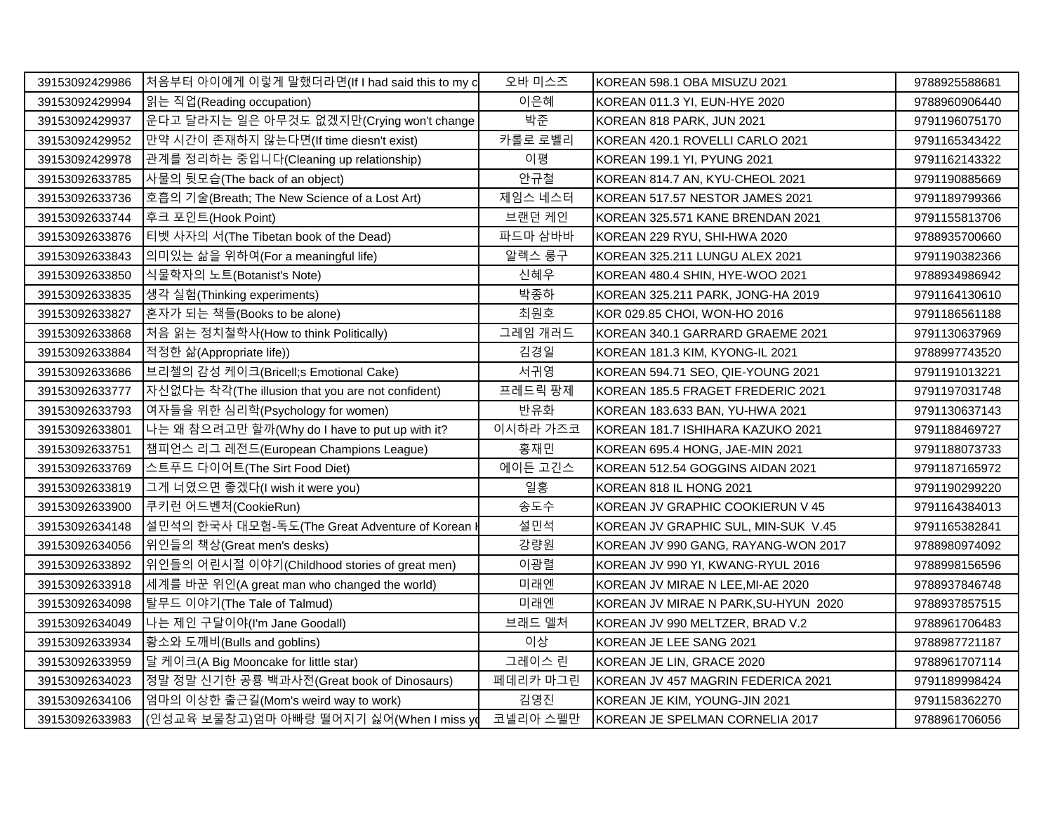| 39153092429986 | 처음부터 아이에게 이렇게 말했더라면(If I had said this to my c    | 오바 미스즈   | KOREAN 598.1 OBA MISUZU 2021         | 9788925588681 |
|----------------|---------------------------------------------------|----------|--------------------------------------|---------------|
| 39153092429994 | 읽는 직업(Reading occupation)                         | 이은혜      | KOREAN 011.3 YI, EUN-HYE 2020        | 9788960906440 |
| 39153092429937 | 운다고 달라지는 일은 아무것도 없겠지만(Crying won't change         | 박준       | KOREAN 818 PARK, JUN 2021            | 9791196075170 |
| 39153092429952 | 만약 시간이 존재하지 않는다면(If time diesn't exist)           | 카롤로 로벨리  | KOREAN 420.1 ROVELLI CARLO 2021      | 9791165343422 |
| 39153092429978 | 관계를 정리하는 중입니다(Cleaning up relationship)           | 이평       | KOREAN 199.1 YI, PYUNG 2021          | 9791162143322 |
| 39153092633785 | 사물의 뒷모습(The back of an object)                    | 안규철      | KOREAN 814.7 AN, KYU-CHEOL 2021      | 9791190885669 |
| 39153092633736 | 호흡의 기술(Breath; The New Science of a Lost Art)     | 제임스 네스터  | KOREAN 517.57 NESTOR JAMES 2021      | 9791189799366 |
| 39153092633744 | 후크 포인트(Hook Point)                                | 브랜던 케인   | KOREAN 325.571 KANE BRENDAN 2021     | 9791155813706 |
| 39153092633876 | 티벳 사자의 서(The Tibetan book of the Dead)            | 파드마 삼바바  | KOREAN 229 RYU, SHI-HWA 2020         | 9788935700660 |
| 39153092633843 | 의미있는 삶을 위하여(For a meaningful life)                | 알렉스 룽구   | KOREAN 325.211 LUNGU ALEX 2021       | 9791190382366 |
| 39153092633850 | 식물학자의 노트(Botanist's Note)                         | 신혜우      | KOREAN 480.4 SHIN, HYE-WOO 2021      | 9788934986942 |
| 39153092633835 | 생각 실험(Thinking experiments)                       | 박종하      | KOREAN 325.211 PARK, JONG-HA 2019    | 9791164130610 |
| 39153092633827 | 혼자가 되는 책들(Books to be alone)                      | 최원호      | KOR 029.85 CHOI, WON-HO 2016         | 9791186561188 |
| 39153092633868 | 서음 읽는 정치철학사(How to think Politically)             | 그레임 개러드  | KOREAN 340.1 GARRARD GRAEME 2021     | 9791130637969 |
| 39153092633884 | 적정한 삶(Appropriate life))                          | 김경일      | KOREAN 181.3 KIM, KYONG-IL 2021      | 9788997743520 |
| 39153092633686 | 브리첼의 감성 케이크(Bricell;s Emotional Cake)             | 서귀영      | KOREAN 594.71 SEO, QIE-YOUNG 2021    | 9791191013221 |
| 39153092633777 | 자신없다는 착각(The illusion that you are not confident) | 프레드릭 팡제  | KOREAN 185.5 FRAGET FREDERIC 2021    | 9791197031748 |
| 39153092633793 | 여자들을 위한 심리학(Psychology for women)                 | 반유화      | KOREAN 183.633 BAN, YU-HWA 2021      | 9791130637143 |
| 39153092633801 | 나는 왜 참으려고만 할까(Why do I have to put up with it?    | 이시하라 가즈코 | KOREAN 181.7 ISHIHARA KAZUKO 2021    | 9791188469727 |
| 39153092633751 | ┃챔피언스 리그 레전드(European Champions League)           | 홍재민      | KOREAN 695.4 HONG, JAE-MIN 2021      | 9791188073733 |
| 39153092633769 | 스트푸드 다이어트(The Sirt Food Diet)                     | 에이든 고긴스  | KOREAN 512.54 GOGGINS AIDAN 2021     | 9791187165972 |
| 39153092633819 | 그게 너였으면 좋겠다(I wish it were you)                   | 일홍       | KOREAN 818 IL HONG 2021              | 9791190299220 |
| 39153092633900 | 쿠키런 어드벤처(CookieRun)                               | 송도수      | KOREAN JV GRAPHIC COOKIERUN V 45     | 9791164384013 |
| 39153092634148 | 설민석의 한국사 대모험-독도(The Great Adventure of Korean     | 설민석      | KOREAN JV GRAPHIC SUL, MIN-SUK V.45  | 9791165382841 |
| 39153092634056 | 위인들의 책상(Great men's desks)                        | 강량원      | KOREAN JV 990 GANG, RAYANG-WON 2017  | 9788980974092 |
| 39153092633892 | 위인들의 어린시절 이야기(Childhood stories of great men)     | 이광렬      | KOREAN JV 990 YI, KWANG-RYUL 2016    | 9788998156596 |
| 39153092633918 | 세계를 바꾼 위인(A great man who changed the world)      | 미래엔      | KOREAN JV MIRAE N LEE, MI-AE 2020    | 9788937846748 |
| 39153092634098 | 탈무드 이야기(The Tale of Talmud)                       | 미래엔      | KOREAN JV MIRAE N PARK, SU-HYUN 2020 | 9788937857515 |
| 39153092634049 | 나는 제인 구달이야(I'm Jane Goodall)                      | 브래드 멜처   | KOREAN JV 990 MELTZER, BRAD V.2      | 9788961706483 |
| 39153092633934 | 황소와 도깨비(Bulls and goblins)                        | 이상       | KOREAN JE LEE SANG 2021              | 9788987721187 |
| 39153092633959 | 달 케이크(A Big Mooncake for little star)             | 그레이스 린   | KOREAN JE LIN, GRACE 2020            | 9788961707114 |
| 39153092634023 | 정말 정말 신기한 공룡 백과사전(Great book of Dinosaurs)        | 페데리카 마그린 | KOREAN JV 457 MAGRIN FEDERICA 2021   | 9791189998424 |
| 39153092634106 | 임마의 이상한 출근길(Mom's weird way to work)              | 김영진      | KOREAN JE KIM, YOUNG-JIN 2021        | 9791158362270 |
| 39153092633983 | (인성교육 보물창고)엄마 아빠랑 떨어지기 싫어(When I miss yo          | 코넬리아 스펠만 | KOREAN JE SPELMAN CORNELIA 2017      | 9788961706056 |